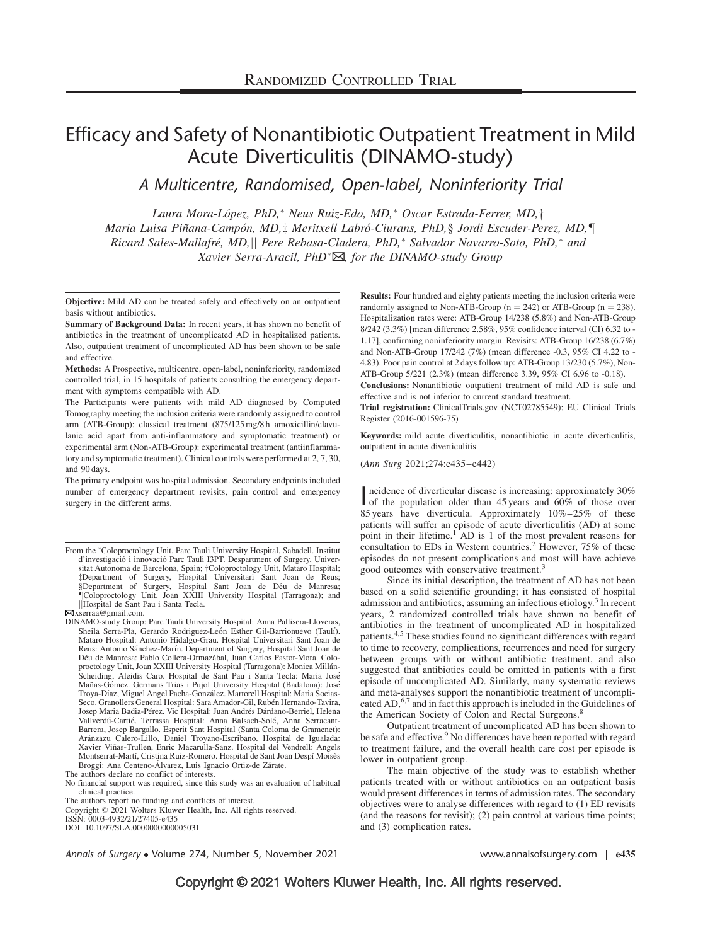# Efficacy and Safety of Nonantibiotic Outpatient Treatment in Mild Acute Diverticulitis (DINAMO-study)

A Multicentre, Randomised, Open-label, Noninferiority Trial

Laura Mora-López, PhD,\* Neus Ruiz-Edo, MD,\* Oscar Estrada-Ferrer, MD,† Maria Luisa Piñana-Campón, MD,‡ Meritxell Labró-Ciurans, PhD,§ Jordi Escuder-Perez, MD,¶ Ricard Sales-Mallafré, MD, || Pere Rebasa-Cladera, PhD,\* Salvador Navarro-Soto, PhD,\* and Xavier Serra-Aracil, PhD<sup>\*</sup> $\boxtimes$ , for the DINAMO-study Group

Objective: Mild AD can be treated safely and effectively on an outpatient basis without antibiotics.

Summary of Background Data: In recent years, it has shown no benefit of antibiotics in the treatment of uncomplicated AD in hospitalized patients. Also, outpatient treatment of uncomplicated AD has been shown to be safe and effective.

Methods: A Prospective, multicentre, open-label, noninferiority, randomized controlled trial, in 15 hospitals of patients consulting the emergency department with symptoms compatible with AD.

The Participants were patients with mild AD diagnosed by Computed Tomography meeting the inclusion criteria were randomly assigned to control arm (ATB-Group): classical treatment (875/125 mg/8 h amoxicillin/clavulanic acid apart from anti-inflammatory and symptomatic treatment) or experimental arm (Non-ATB-Group): experimental treatment (antiinflammatory and symptomatic treatment). Clinical controls were performed at 2, 7, 30, and 90 days.

The primary endpoint was hospital admission. Secondary endpoints included number of emergency department revisits, pain control and emergency surgery in the different arms.

 $\boxtimes$ [xserraa@gmail.com](mailto:xserraa@gmail.com).

ISSN: 0003-4932/21/27405-e435 DOI: 10.1097/SLA.0000000000005031

Results: Four hundred and eighty patients meeting the inclusion criteria were randomly assigned to Non-ATB-Group ( $n = 242$ ) or ATB-Group ( $n = 238$ ). Hospitalization rates were: ATB-Group 14/238 (5.8%) and Non-ATB-Group 8/242 (3.3%) [mean difference 2.58%, 95% confidence interval (CI) 6.32 to - 1.17], confirming noninferiority margin. Revisits: ATB-Group 16/238 (6.7%) and Non-ATB-Group 17/242 (7%) (mean difference -0.3, 95% CI 4.22 to - 4.83). Poor pain control at 2 days follow up: ATB-Group 13/230 (5.7%), Non-ATB-Group 5/221 (2.3%) (mean difference 3.39, 95% CI 6.96 to -0.18).

Conclusions: Nonantibiotic outpatient treatment of mild AD is safe and effective and is not inferior to current standard treatment.

Trial registration: ClinicalTrials.gov (NCT02785549); EU Clinical Trials Register (2016-001596-75)

Keywords: mild acute diverticulitis, nonantibiotic in acute diverticulitis, outpatient in acute diverticulitis

(Ann Surg 2021;274:e435–e442)

Incidence of diverticular disease is increasing: approximately 30%<br>of the population older than 45 years and 60% of those over ncidence of diverticular disease is increasing: approximately 30% 85 years have diverticula. Approximately 10%–25% of these patients will suffer an episode of acute diverticulitis (AD) at some point in their lifetime.<sup>[1](#page-6-0)</sup> AD is 1 of the most prevalent reasons for consultation to EDs in Western countries.<sup>[2](#page-6-0)</sup> However, 75% of these episodes do not present complications and most will have achieve good outcomes with conservative treatment.<sup>[3](#page-6-0)</sup>

Since its initial description, the treatment of AD has not been based on a solid scientific grounding; it has consisted of hospital admission and antibiotics, assuming an infectious etiology.<sup>[3](#page-6-0)</sup> In recent years, 2 randomized controlled trials have shown no benefit of antibiotics in the treatment of uncomplicated AD in hospitalized patients[.4,5](#page-7-0) These studies found no significant differences with regard to time to recovery, complications, recurrences and need for surgery between groups with or without antibiotic treatment, and also suggested that antibiotics could be omitted in patients with a first episode of uncomplicated AD. Similarly, many systematic reviews and meta-analyses support the nonantibiotic treatment of uncompli-cated AD,<sup>[6,7](#page-7-0)</sup> and in fact this approach is included in the Guidelines of the American Society of Colon and Rectal Surgeons.<sup>8</sup>

Outpatient treatment of uncomplicated AD has been shown to be safe and effective.<sup>9</sup> No differences have been reported with regard to treatment failure, and the overall health care cost per episode is lower in outpatient group.

The main objective of the study was to establish whether patients treated with or without antibiotics on an outpatient basis would present differences in terms of admission rates. The secondary objectives were to analyse differences with regard to (1) ED revisits (and the reasons for revisit); (2) pain control at various time points; and (3) complication rates.

Annals of Surgery • Volume 274, Number 5, November 2021 www.annalsofsurgery.com | e435

From the \*Coloproctology Unit. Parc Tauli University Hospital, Sabadell. Institut d'investigació i innovació Parc Tauli I3PT. Despartment of Surgery, Universitat Autonoma de Barcelona, Spain; †Coloproctology Unit, Mataro Hospital; ‡Department of Surgery, Hospital Universitari Sant Joan de Reus;<br>§Department of Surgery, Hospital Sant Joan de Déu de Manresa; -Coloproctology Unit, Joan XXIII University Hospital (Tarragona); and jjHospital de Sant Pau i Santa Tecla.

DINAMO-study Group: Parc Tauli University Hospital: Anna Pallisera-Lloveras, Sheila Serra-Pla, Gerardo Rodriguez-León Esther Gil-Barrionuevo (Taulí). Mataro Hospital: Antonio Hidalgo-Grau. Hospital Universitari Sant Joan de Reus: Antonio Sánchez-Marín. Department of Surgery, Hospital Sant Joan de De´u de Manresa: Pablo Collera-Ormaza´bal, Juan Carlos Pastor-Mora. Coloproctology Unit, Joan XXIII University Hospital (Tarragona): Monica Millán-Scheiding, Aleidis Caro. Hospital de Sant Pau i Santa Tecla: Maria José<br>Mañas-Gómez. Germans Trias i Pujol University Hospital (Badalona): José Troya-Díaz, Miguel Angel Pacha-González. Martorell Hospital: Maria Socias-Seco. Granollers General Hospital: Sara Amador-Gil, Rubén Hernando-Tavira, Josep Maria Badia-Pérez. Vic Hospital: Juan Andrés Dárdano-Berriel, Helena Vallverdú-Cartié. Terrassa Hospital: Anna Balsach-Solé, Anna Serracant-Barrera, Josep Bargallo. Esperit Sant Hospital (Santa Coloma de Gramenet): Aránzazu Calero-Lillo, Daniel Troyano-Escribano. Hospital de Igualada: Xavier Viñas-Trullen, Enric Macarulla-Sanz. Hospital del Vendrell: Angels Montserrat-Martí, Cristina Ruiz-Romero. Hospital de Sant Joan Despí Moisès Broggi: Ana Centeno-Álvarez, Luis Ignacio Ortiz-de Zárate.

The authors declare no conflict of interests.

No financial support was required, since this study was an evaluation of habitual clinical practice.

The authors report no funding and conflicts of interest.

Copyright © 2021 Wolters Kluwer Health, Inc. All rights reserved.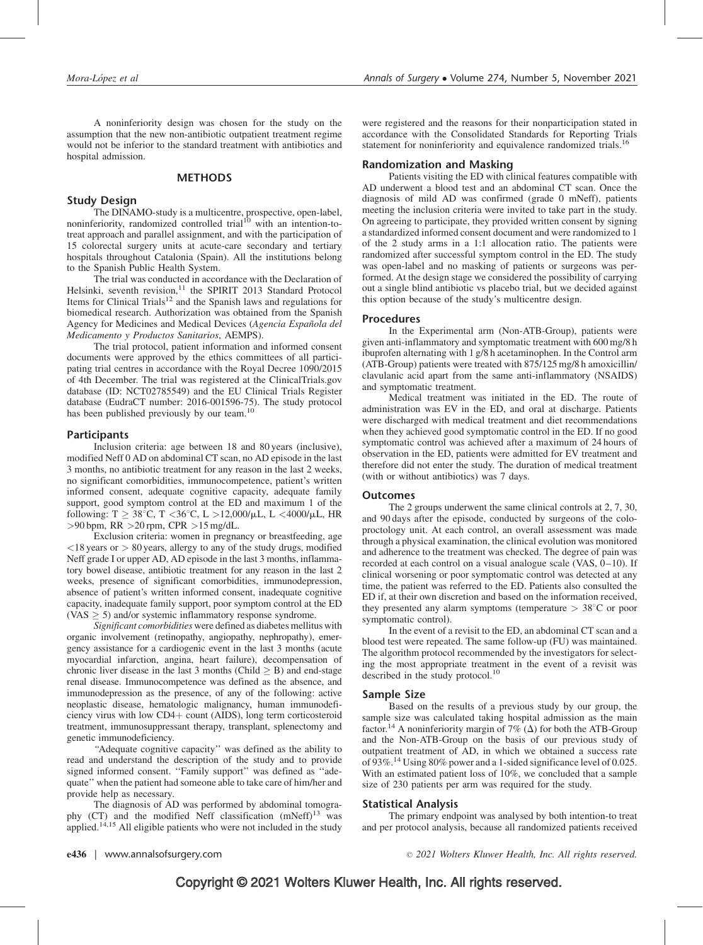A noninferiority design was chosen for the study on the assumption that the new non-antibiotic outpatient treatment regime would not be inferior to the standard treatment with antibiotics and hospital admission.

## METHODS

# Study Design

The DINAMO-study is a multicentre, prospective, open-label, noninferiority, randomized controlled trial<sup>[10](#page-7-0)</sup> with an intention-totreat approach and parallel assignment, and with the participation of 15 colorectal surgery units at acute-care secondary and tertiary hospitals throughout Catalonia (Spain). All the institutions belong to the Spanish Public Health System.

The trial was conducted in accordance with the Declaration of Helsinki, seventh revision,<sup>[11](#page-7-0)</sup> the SPIRIT 2013 Standard Protocol Items for Clinical Trials<sup>12</sup> and the Spanish laws and regulations for biomedical research. Authorization was obtained from the Spanish Agency for Medicines and Medical Devices (Agencia Española del Medicamento y Productos Sanitarios, AEMPS).

The trial protocol, patient information and informed consent documents were approved by the ethics committees of all participating trial centres in accordance with the Royal Decree 1090/2015 of 4th December. The trial was registered at the ClinicalTrials.gov database (ID: NCT02785549) and the EU Clinical Trials Register database (EudraCT number: 2016-001596-75). The study protocol has been published previously by our team.<sup>[10](#page-7-0)</sup>

#### **Participants**

Inclusion criteria: age between 18 and 80 years (inclusive), modified Neff 0 AD on abdominal CT scan, no AD episode in the last 3 months, no antibiotic treatment for any reason in the last 2 weeks, no significant comorbidities, immunocompetence, patient's written informed consent, adequate cognitive capacity, adequate family support, good symptom control at the ED and maximum 1 of the following: T  $\geq 38^{\circ}$ C, T < 36 $^{\circ}$ C, L  $>12,000/\mu$ L, L < 4000/ $\mu$ L, HR >90 bpm, RR >20 rpm, CPR >15 mg/dL.

Exclusion criteria: women in pregnancy or breastfeeding, age  $<$ 18 years or  $>$  80 years, allergy to any of the study drugs, modified Neff grade I or upper AD, AD episode in the last 3 months, inflammatory bowel disease, antibiotic treatment for any reason in the last 2 weeks, presence of significant comorbidities, immunodepression, absence of patient's written informed consent, inadequate cognitive capacity, inadequate family support, poor symptom control at the ED (VAS  $\geq$  5) and/or systemic inflammatory response syndrome.

Significant comorbidities were defined as diabetes mellitus with organic involvement (retinopathy, angiopathy, nephropathy), emergency assistance for a cardiogenic event in the last 3 months (acute myocardial infarction, angina, heart failure), decompensation of chronic liver disease in the last 3 months (Child  $>$  B) and end-stage renal disease. Immunocompetence was defined as the absence, and immunodepression as the presence, of any of the following: active neoplastic disease, hematologic malignancy, human immunodeficiency virus with low CD4+ count (AIDS), long term corticosteroid treatment, immunosuppressant therapy, transplant, splenectomy and genetic immunodeficiency.

"Adequate cognitive capacity" was defined as the ability to read and understand the description of the study and to provide signed informed consent. "Family support" was defined as "adequate'' when the patient had someone able to take care of him/her and provide help as necessary.

The diagnosis of AD was performed by abdominal tomography (CT) and the modified Neff classification  $(mNeff)^{13}$  $(mNeff)^{13}$  $(mNeff)^{13}$  was applied.<sup>14,15</sup> All eligible patients who were not included in the study

were registered and the reasons for their nonparticipation stated in accordance with the Consolidated Standards for Reporting Trials statement for noninferiority and equivalence randomized trials.<sup>[16](#page-7-0)</sup>

#### Randomization and Masking

Patients visiting the ED with clinical features compatible with AD underwent a blood test and an abdominal CT scan. Once the diagnosis of mild AD was confirmed (grade 0 mNeff), patients meeting the inclusion criteria were invited to take part in the study. On agreeing to participate, they provided written consent by signing a standardized informed consent document and were randomized to 1 of the 2 study arms in a 1:1 allocation ratio. The patients were randomized after successful symptom control in the ED. The study was open-label and no masking of patients or surgeons was performed. At the design stage we considered the possibility of carrying out a single blind antibiotic vs placebo trial, but we decided against this option because of the study's multicentre design.

#### Procedures

In the Experimental arm (Non-ATB-Group), patients were given anti-inflammatory and symptomatic treatment with 600 mg/8 h ibuprofen alternating with 1 g/8 h acetaminophen. In the Control arm (ATB-Group) patients were treated with 875/125 mg/8 h amoxicillin/ clavulanic acid apart from the same anti-inflammatory (NSAIDS) and symptomatic treatment.

Medical treatment was initiated in the ED. The route of administration was EV in the ED, and oral at discharge. Patients were discharged with medical treatment and diet recommendations when they achieved good symptomatic control in the ED. If no good symptomatic control was achieved after a maximum of 24 hours of observation in the ED, patients were admitted for EV treatment and therefore did not enter the study. The duration of medical treatment (with or without antibiotics) was 7 days.

#### **Outcomes**

The 2 groups underwent the same clinical controls at 2, 7, 30, and 90 days after the episode, conducted by surgeons of the coloproctology unit. At each control, an overall assessment was made through a physical examination, the clinical evolution was monitored and adherence to the treatment was checked. The degree of pain was recorded at each control on a visual analogue scale (VAS, 0–10). If clinical worsening or poor symptomatic control was detected at any time, the patient was referred to the ED. Patients also consulted the ED if, at their own discretion and based on the information received, they presented any alarm symptoms (temperature  $> 38^{\circ}$ C or poor symptomatic control).

In the event of a revisit to the ED, an abdominal CT scan and a blood test were repeated. The same follow-up (FU) was maintained. The algorithm protocol recommended by the investigators for selecting the most appropriate treatment in the event of a revisit was described in the study protocol.<sup>[10](#page-7-0)</sup>

#### Sample Size

Based on the results of a previous study by our group, the sample size was calculated taking hospital admission as the main factor.<sup>14</sup> A noninferiority margin of 7% ( $\Delta$ ) for both the ATB-Group and the Non-ATB-Group on the basis of our previous study of outpatient treatment of AD, in which we obtained a success rate of 93%[.14](#page-7-0) Using 80% power and a 1-sided significance level of 0.025. With an estimated patient loss of 10%, we concluded that a sample size of 230 patients per arm was required for the study.

#### Statistical Analysis

The primary endpoint was analysed by both intention-to treat and per protocol analysis, because all randomized patients received

e436 | www.annalsofsurgery.com 2021 Wolters Kluwer Health, Inc. All rights reserved.

# Copyright © 2021 Wolters Kluwer Health, Inc. All rights reserved.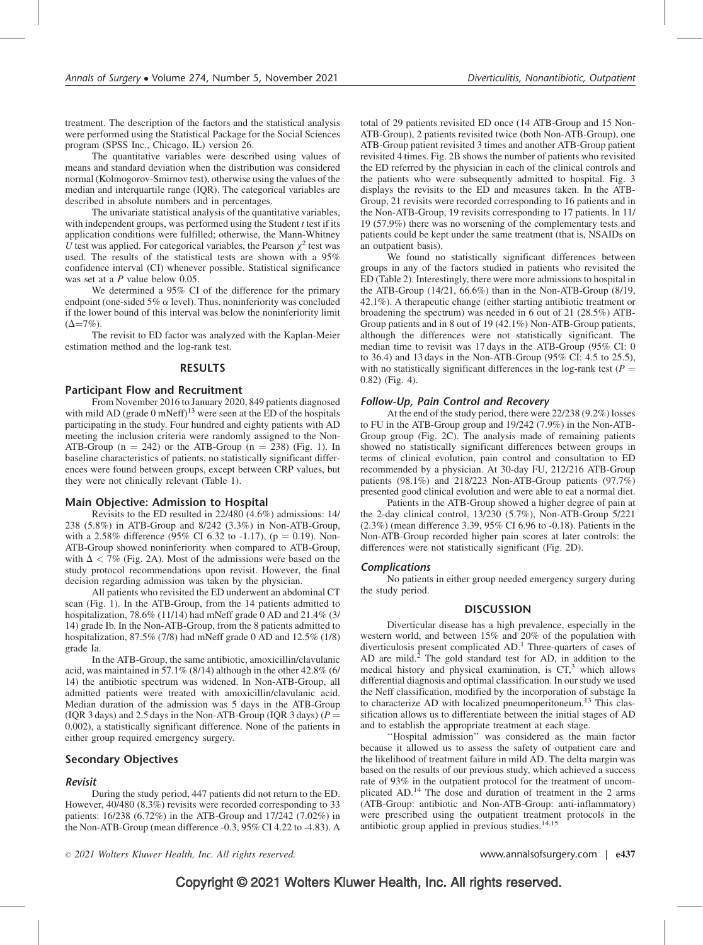treatment. The description of the factors and the statistical analysis were performed using the Statistical Package for the Social Sciences program (SPSS Inc., Chicago, IL) version 26.

The quantitative variables were described using values of means and standard deviation when the distribution was considered normal (Kolmogorov-Smirnov test), otherwise using the values of the median and interquartile range (IQR). The categorical variables are described in absolute numbers and in percentages.

The univariate statistical analysis of the quantitative variables, with independent groups, was performed using the Student  $t$  test if its application conditions were fulfilled; otherwise, the Mann-Whitney U test was applied. For categorical variables, the Pearson  $\chi^2$  test was used. The results of the statistical tests are shown with a 95% confidence interval (CI) whenever possible. Statistical significance was set at a P value below 0.05.

We determined a 95% CI of the difference for the primary endpoint (one-sided 5%  $\alpha$  level). Thus, noninferiority was concluded if the lower bound of this interval was below the noninferiority limit  $(\Delta = 7\%)$ .

The revisit to ED factor was analyzed with the Kaplan-Meier estimation method and the log-rank test.

## **RESULTS**

#### Participant Flow and Recruitment

From November 2016 to January 2020, 849 patients diagnosed with mild AD (grade 0 mNeff)<sup>[13](#page-7-0)</sup> were seen at the  $\text{ED}$  of the hospitals participating in the study. Four hundred and eighty patients with AD meeting the inclusion criteria were randomly assigned to the Non-ATB-Group ( $n = 242$ ) or the ATB-Group ( $n = 238$ ) (Fig. 1). In baseline characteristics of patients, no statistically significant differences were found between groups, except between CRP values, but they were not clinically relevant (Table 1).

#### Main Objective: Admission to Hospital

Revisits to the ED resulted in 22/480 (4.6%) admissions: 14/ 238 (5.8%) in ATB-Group and 8/242 (3.3%) in Non-ATB-Group, with a 2.58% difference (95% CI 6.32 to -1.17), ( $p = 0.19$ ). Non-ATB-Group showed noninferiority when compared to ATB-Group, with  $\Delta < 7\%$  (Fig. 2A). Most of the admissions were based on the study protocol recommendations upon revisit. However, the final decision regarding admission was taken by the physician.

All patients who revisited the ED underwent an abdominal CT scan (Fig. 1). In the ATB-Group, from the 14 patients admitted to hospitalization, 78.6% (11/14) had mNeff grade 0 AD and 21.4% (3/ 14) grade Ib. In the Non-ATB-Group, from the 8 patients admitted to hospitalization, 87.5% (7/8) had mNeff grade 0 AD and 12.5% (1/8) grade Ia.

In the ATB-Group, the same antibiotic, amoxicillin/clavulanic acid, was maintained in 57.1% (8/14) although in the other 42.8% (6/ 14) the antibiotic spectrum was widened. In Non-ATB-Group, all admitted patients were treated with amoxicillin/clavulanic acid. Median duration of the admission was 5 days in the ATB-Group (IQR 3 days) and 2.5 days in the Non-ATB-Group (IQR 3 days) ( $P =$ 0.002), a statistically significant difference. None of the patients in either group required emergency surgery.

# Secondary Objectives

#### Revisit

During the study period, 447 patients did not return to the ED. However, 40/480 (8.3%) revisits were recorded corresponding to 33 patients: 16/238 (6.72%) in the ATB-Group and 17/242 (7.02%) in the Non-ATB-Group (mean difference -0.3, 95% CI 4.22 to -4.83). A

total of 29 patients revisited ED once (14 ATB-Group and 15 Non-ATB-Group), 2 patients revisited twice (both Non-ATB-Group), one ATB-Group patient revisited 3 times and another ATB-Group patient revisited 4 times. Fig. 2B shows the number of patients who revisited the ED referred by the physician in each of the clinical controls and the patients who were subsequently admitted to hospital. Fig. 3 displays the revisits to the ED and measures taken. In the ATB-Group, 21 revisits were recorded corresponding to 16 patients and in the Non-ATB-Group, 19 revisits corresponding to 17 patients. In 11/ 19 (57.9%) there was no worsening of the complementary tests and patients could be kept under the same treatment (that is, NSAIDs on an outpatient basis).

We found no statistically significant differences between groups in any of the factors studied in patients who revisited the ED (Table 2). Interestingly, there were more admissions to hospital in the ATB-Group (14/21, 66.6%) than in the Non-ATB-Group (8/19, 42.1%). A therapeutic change (either starting antibiotic treatment or broadening the spectrum) was needed in 6 out of 21 (28.5%) ATB-Group patients and in 8 out of 19 (42.1%) Non-ATB-Group patients, although the differences were not statistically significant. The median time to revisit was 17 days in the ATB-Group (95% CI: 0 to 36.4) and 13 days in the Non-ATB-Group (95% CI: 4.5 to 25.5), with no statistically significant differences in the log-rank test ( $P =$ 0.82) (Fig. 4).

## Follow-Up, Pain Control and Recovery

At the end of the study period, there were 22/238 (9.2%) losses to FU in the ATB-Group group and 19/242 (7.9%) in the Non-ATB-Group group (Fig. 2C). The analysis made of remaining patients showed no statistically significant differences between groups in terms of clinical evolution, pain control and consultation to ED recommended by a physician. At 30-day FU, 212/216 ATB-Group patients (98.1%) and 218/223 Non-ATB-Group patients (97.7%) presented good clinical evolution and were able to eat a normal diet.

Patients in the ATB-Group showed a higher degree of pain at the 2-day clinical control, 13/230 (5.7%), Non-ATB-Group 5/221 (2.3%) (mean difference 3.39, 95% CI 6.96 to -0.18). Patients in the Non-ATB-Group recorded higher pain scores at later controls: the differences were not statistically significant (Fig. 2D).

#### **Complications**

No patients in either group needed emergency surgery during the study period.

#### **DISCUSSION**

Diverticular disease has a high prevalence, especially in the western world, and between 15% and 20% of the population with diverticulosis present complicated AD.<sup>[1](#page-6-0)</sup> Three-quarters of cases of AD are mild.<sup>2</sup> The gold standard test for AD, in addition to the medical history and physical examination, is  $CT<sup>3</sup>$ , which allows differential diagnosis and optimal classification. In our study we used the Neff classification, modified by the incorporation of substage Ia to characterize AD with localized pneumoperitoneum.<sup>[13](#page-7-0)</sup> This classification allows us to differentiate between the initial stages of AD and to establish the appropriate treatment at each stage.

''Hospital admission'' was considered as the main factor because it allowed us to assess the safety of outpatient care and the likelihood of treatment failure in mild AD. The delta margin was based on the results of our previous study, which achieved a success rate of 93% in the outpatient protocol for the treatment of uncomplicated AD.[14](#page-7-0) The dose and duration of treatment in the 2 arms (ATB-Group: antibiotic and Non-ATB-Group: anti-inflammatory) were prescribed using the outpatient treatment protocols in the antibiotic group applied in previous studies.<sup>[14,15](#page-7-0)</sup>

 $\degree$  2021 Wolters Kluwer Health, Inc. All rights reserved. www.annalsofsurgery.com | e437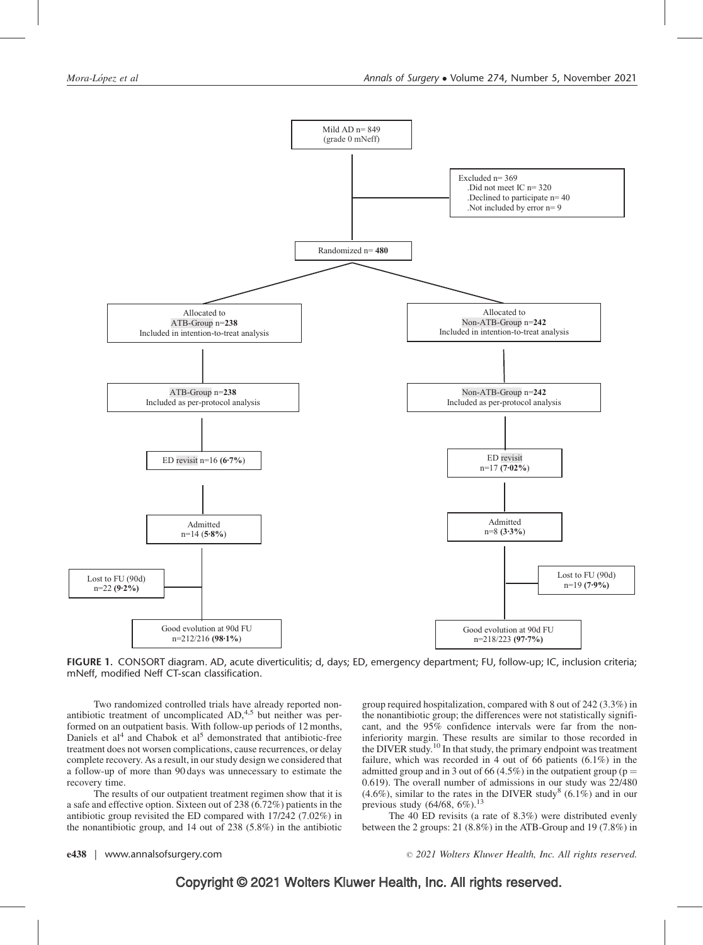

FIGURE 1. CONSORT diagram. AD, acute diverticulitis; d, days; ED, emergency department; FU, follow-up; IC, inclusion criteria; mNeff, modified Neff CT-scan classification.

Two randomized controlled trials have already reported non-antibiotic treatment of uncomplicated AD,<sup>[4,5](#page-7-0)</sup> but neither was performed on an outpatient basis. With follow-up periods of 12 months, Daniels et al<sup>[4](#page-7-0)</sup> and Chabok et al<sup>5</sup> demonstrated that antibiotic-free treatment does not worsen complications, cause recurrences, or delay complete recovery. As a result, in our study design we considered that a follow-up of more than 90 days was unnecessary to estimate the recovery time.

The results of our outpatient treatment regimen show that it is a safe and effective option. Sixteen out of 238 (6.72%) patients in the antibiotic group revisited the ED compared with 17/242 (7.02%) in the nonantibiotic group, and 14 out of 238 (5.8%) in the antibiotic group required hospitalization, compared with 8 out of 242 (3.3%) in the nonantibiotic group; the differences were not statistically significant, and the 95% confidence intervals were far from the noninferiority margin. These results are similar to those recorded in the DIVER study.[10](#page-7-0) In that study, the primary endpoint was treatment failure, which was recorded in 4 out of 66 patients  $(6.1\%)$  in the admitted group and in 3 out of 66 (4.5%) in the outpatient group ( $p =$ 0.619). The overall number of admissions in our study was 22/480  $(4.6\%)$ , similar to the rates in the DIVER study<sup>[8](#page-7-0)</sup> (6.1%) and in our previous study  $(64/68, 6\%)$ .<sup>[13](#page-7-0)</sup>

The 40 ED revisits (a rate of 8.3%) were distributed evenly between the 2 groups: 21 (8.8%) in the ATB-Group and 19 (7.8%) in

e438 | www.annalsofsurgery.com 2021 Wolters Kluwer Health, Inc. All rights reserved.

# Copyright © 2021 Wolters Kluwer Health, Inc. All rights reserved.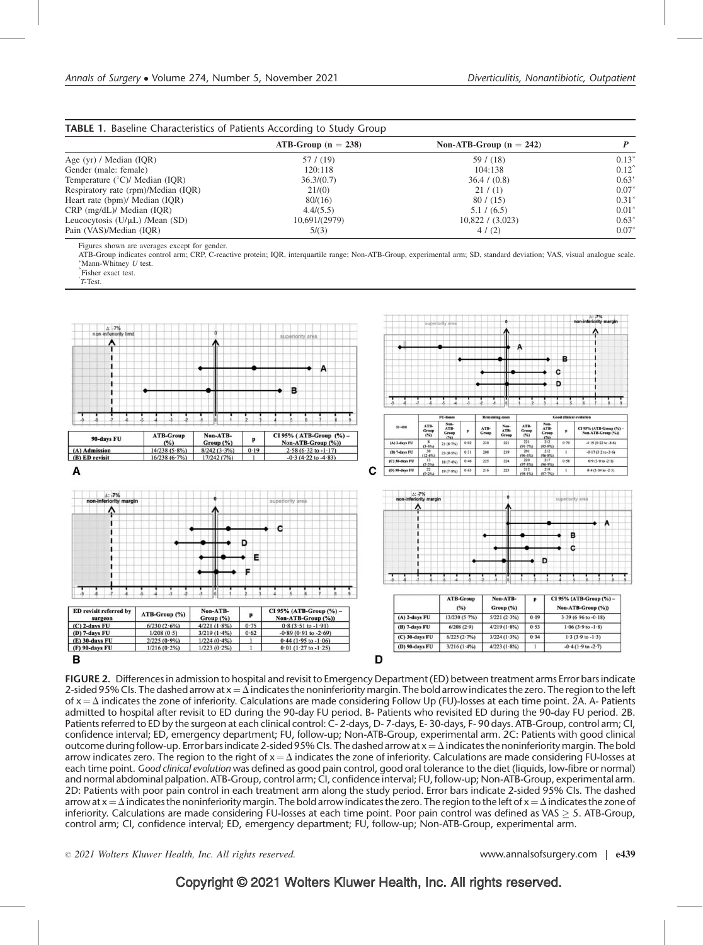| <b>TABLE 1.</b> Baseline Characteristics of Patients According to Study Group |                       |                           |                |  |  |  |  |  |  |
|-------------------------------------------------------------------------------|-----------------------|---------------------------|----------------|--|--|--|--|--|--|
|                                                                               | $ATB-Group (n = 238)$ | Non-ATB-Group $(n = 242)$ |                |  |  |  |  |  |  |
| Age $(yr)$ / Median $(IQR)$                                                   | 57/(19)               | 59/ (18)                  | $0.13*$        |  |  |  |  |  |  |
| Gender (male: female)                                                         | 120:118               | 104:138                   | $0.12^{\circ}$ |  |  |  |  |  |  |
| Temperature $(^{\circ}C)/$ Median (IQR)                                       | 36.3/(0.7)            | 36.4 / (0.8)              | 0.63'          |  |  |  |  |  |  |
| Respiratory rate (rpm)/Median (IQR)                                           | 21/(0)                | 21 / (1)                  | $0.07*$        |  |  |  |  |  |  |
| Heart rate (bpm)/ Median (IQR)                                                | 80/(16)               | 80 / (15)                 | $0.31*$        |  |  |  |  |  |  |
| $CRP$ (mg/dL)/ Median (IQR)                                                   | 4.4/(5.5)             | 5.1 / (6.5)               | $0.01*$        |  |  |  |  |  |  |
| Leucocytosis $(U/\mu L)$ /Mean $(SD)$                                         | 10,691/(2979)         | $10,822/$ (3,023)         | $0.63*$        |  |  |  |  |  |  |
| Pain (VAS)/Median (IOR)                                                       | 5/(3)                 | 4/(2)                     | $0.07*$        |  |  |  |  |  |  |

Figures shown are averages except for gender.

ATB-Group indicates control arm; CRP, C-reactive protein; IOR, interquartile range; Non-ATB-Group, experimental arm; SD, standard deviation; VAS, visual analogue scale.  $^*$ Mann-Whitney U test.

Fisher exact test. ' T-Test.



FIGURE 2. Differences in admission to hospital and revisit to Emergency Department (ED) between treatment arms Error bars indicate 2-sided 95% CIs. The dashed arrow at  $x = \Delta$  indicates the noninferiority margin. The bold arrow indicates the zero. The region to the left of  $x = \Delta$  indicates the zone of inferiority. Calculations are made considering Follow Up (FU)-losses at each time point. 2A. A- Patients admitted to hospital after revisit to ED during the 90-day FU period. B- Patients who revisited ED during the 90-day FU period. 2B. Patients referred to ED by the surgeon at each clinical control: C-2-days, D-7-days, E-30-days, F-90 days, ATB-Group, control arm; CI, confidence interval; ED, emergency department; FU, follow-up; Non-ATB-Group, experimental arm. 2C: Patients with good clinical outcome during follow-up. Error bars indicate 2-sided 95% CIs. The dashed arrow at  $x = \Delta$  indicates the noninferiority margin. The bold arrow indicates zero. The region to the right of  $x = \Delta$  indicates the zone of inferiority. Calculations are made considering FU-losses at each time point. Good clinical evolution was defined as good pain control, good oral tolerance to the diet (liquids, low-fibre or normal) and normal abdominal palpation. ATB-Group, control arm; CI, confidence interval; FU, follow-up; Non-ATB-Group, experimental arm. 2D: Patients with poor pain control in each treatment arm along the study period. Error bars indicate 2-sided 95% CIs. The dashed arrow at  $x = \Delta$  indicates the noninferiority margin. The bold arrow indicates the zero. The region to the left of  $x = \Delta$  indicates the zone of inferiority. Calculations are made considering FU-losses at each time point. Poor pain control was defined as VAS  $\geq$  5. ATB-Group, control arm; CI, confidence interval; ED, emergency department; FU, follow-up; Non-ATB-Group, experimental arm.

 $\degree$  2021 Wolters Kluwer Health, Inc. All rights reserved. We www.annalsofsurgery.com | e439

# Copyright © 2021 Wolters Kluwer Health, Inc. All rights reserved.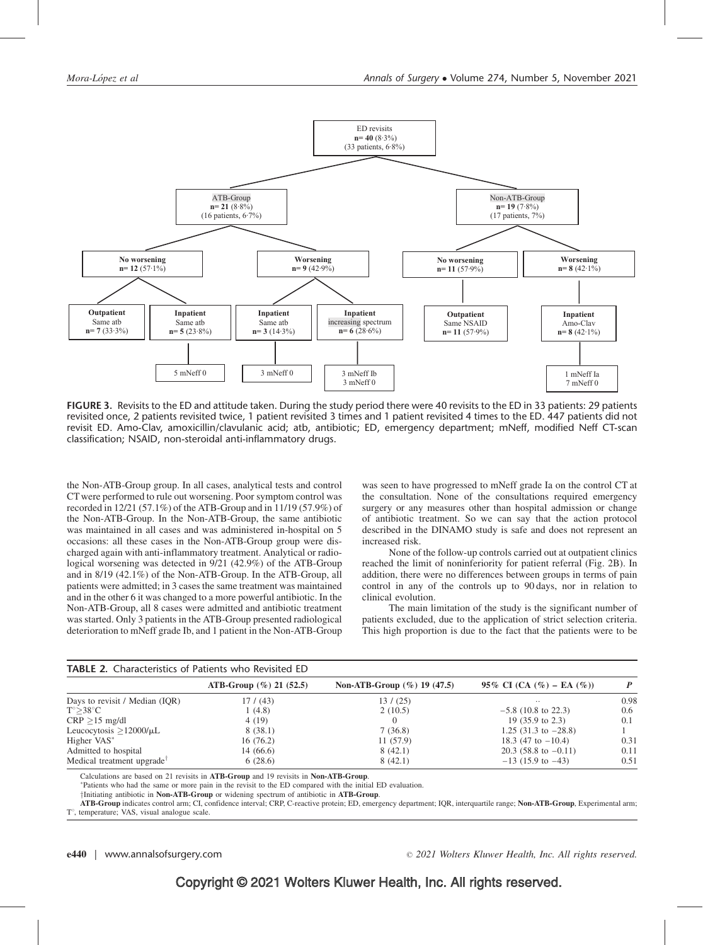

FIGURE 3. Revisits to the ED and attitude taken. During the study period there were 40 revisits to the ED in 33 patients: 29 patients revisited once, 2 patients revisited twice, 1 patient revisited 3 times and 1 patient revisited 4 times to the ED. 447 patients did not revisit ED. Amo-Clav, amoxicillin/clavulanic acid; atb, antibiotic; ED, emergency department; mNeff, modified Neff CT-scan classification; NSAID, non-steroidal anti-inflammatory drugs.

the Non-ATB-Group group. In all cases, analytical tests and control CTwere performed to rule out worsening. Poor symptom control was recorded in 12/21 (57.1%) of the ATB-Group and in 11/19 (57.9%) of the Non-ATB-Group. In the Non-ATB-Group, the same antibiotic was maintained in all cases and was administered in-hospital on 5 occasions: all these cases in the Non-ATB-Group group were discharged again with anti-inflammatory treatment. Analytical or radiological worsening was detected in 9/21 (42.9%) of the ATB-Group and in 8/19 (42.1%) of the Non-ATB-Group. In the ATB-Group, all patients were admitted; in 3 cases the same treatment was maintained and in the other 6 it was changed to a more powerful antibiotic. In the Non-ATB-Group, all 8 cases were admitted and antibiotic treatment was started. Only 3 patients in the ATB-Group presented radiological deterioration to mNeff grade Ib, and 1 patient in the Non-ATB-Group was seen to have progressed to mNeff grade Ia on the control CT at the consultation. None of the consultations required emergency surgery or any measures other than hospital admission or change of antibiotic treatment. So we can say that the action protocol described in the DINAMO study is safe and does not represent an increased risk.

None of the follow-up controls carried out at outpatient clinics reached the limit of noninferiority for patient referral (Fig. 2B). In addition, there were no differences between groups in terms of pain control in any of the controls up to 90 days, nor in relation to clinical evolution.

The main limitation of the study is the significant number of patients excluded, due to the application of strict selection criteria. This high proportion is due to the fact that the patients were to be

| <b>TABLE 2.</b> Characteristics of Patients who Revisited ED |                            |                                |                                    |      |  |  |  |  |  |  |  |  |
|--------------------------------------------------------------|----------------------------|--------------------------------|------------------------------------|------|--|--|--|--|--|--|--|--|
|                                                              | ATB-Group $(\%)$ 21 (52.5) | Non-ATB-Group $(\%)$ 19 (47.5) | 95\% CI (CA $(\% )$ – EA $(\% )$ ) |      |  |  |  |  |  |  |  |  |
| Days to revisit / Median (IQR)                               | 17/ (43)                   | 13/ (25)                       | $\cdot$ .                          | 0.98 |  |  |  |  |  |  |  |  |
| $T^{\circ} > 38^{\circ}C$                                    | 1(4.8)                     | 2(10.5)                        | $-5.8$ (10.8 to 22.3)              | 0.6  |  |  |  |  |  |  |  |  |
| $CRP > 15$ mg/dl                                             | 4 (19)                     |                                | 19 $(35.9 \text{ to } 2.3)$        | 0.1  |  |  |  |  |  |  |  |  |
| Leucocytosis $>12000/\mu L$                                  | 8(38.1)                    | 7(36.8)                        | 1.25 $(31.3 \text{ to } -28.8)$    |      |  |  |  |  |  |  |  |  |
| Higher VAS*                                                  | 16(76.2)                   | 11(57.9)                       | 18.3 (47 to $-10.4$ )              | 0.31 |  |  |  |  |  |  |  |  |
| Admitted to hospital                                         | 14(66.6)                   | 8(42.1)                        | $20.3$ (58.8 to $-0.11$ )          | 0.11 |  |  |  |  |  |  |  |  |
| Medical treatment upgrade                                    | 6(28.6)                    | 8(42.1)                        | $-13$ (15.9 to $-43$ )             | 0.51 |  |  |  |  |  |  |  |  |

Calculations are based on 21 revisits in **ATB-Group** and 19 revisits in **Non-ATB-Group.** 

Patients who had the same or more pain in the revisit to the ED compared with the initial ED evaluation.

†Initiating antibiotic in Non-ATB-Group or widening spectrum of antibiotic in ATB-Group.

ATB-Group indicates control arm; CI, confidence interval; CRP, C-reactive protein; ED, emergency department; IQR, interquartile range; Non-ATB-Group, Experimental arm; T°, temperature; VAS, visual analogue scale.

e440 | www.annalsofsurgery.com 2021 Wolters Kluwer Health, Inc. All rights reserved.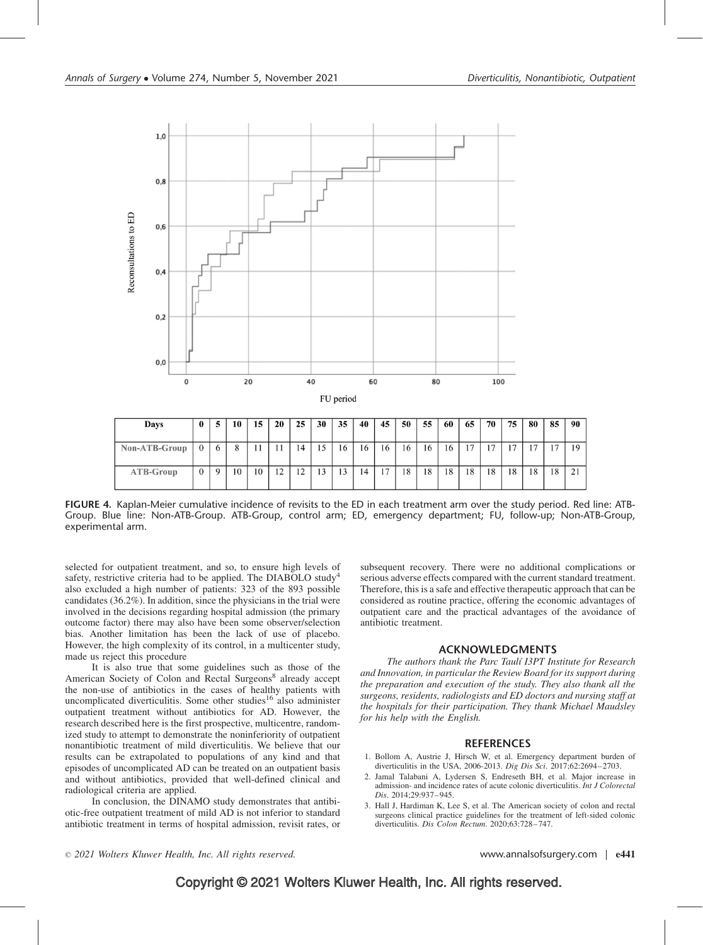<span id="page-6-0"></span>

| Days          | $\bf{0}$ |         | 10 | 15 | 20 | 25                   | 30 | 35 | 40 | 45 | 50 | 55 | -60 | 65 | 70             | 75 | 80 | 85                       | 90 |
|---------------|----------|---------|----|----|----|----------------------|----|----|----|----|----|----|-----|----|----------------|----|----|--------------------------|----|
| Non-ATB-Group |          | $\circ$ |    | 11 |    | 14                   | 15 | 16 | 16 | 16 | 16 | 16 | 16  | 17 | $\overline{ }$ | 17 | 17 | $\overline{\phantom{0}}$ | 19 |
| ATB-Group     |          |         | 10 | 10 | 12 | 12<br>$\overline{1}$ | 13 | 13 | 14 | 17 | 18 | 18 | 18  | 18 | 18             | 18 | 18 | 18                       | 21 |

FIGURE 4. Kaplan-Meier cumulative incidence of revisits to the ED in each treatment arm over the study period. Red line: ATB-Group. Blue line: Non-ATB-Group. ATB-Group, control arm; ED, emergency department; FU, follow-up; Non-ATB-Group, experimental arm.

selected for outpatient treatment, and so, to ensure high levels of safety, restrictive criteria had to be applied. The DIABOLO study<sup>[4](#page-7-0)</sup> also excluded a high number of patients: 323 of the 893 possible candidates (36.2%). In addition, since the physicians in the trial were involved in the decisions regarding hospital admission (the primary outcome factor) there may also have been some observer/selection bias. Another limitation has been the lack of use of placebo. However, the high complexity of its control, in a multicenter study, made us reject this procedure

It is also true that some guidelines such as those of the American Society of Colon and Rectal Surgeons<sup>[8](#page-7-0)</sup> already accept the non-use of antibiotics in the cases of healthy patients with uncomplicated diverticulitis. Some other studies<sup>[16](#page-7-0)</sup> also administer outpatient treatment without antibiotics for AD. However, the research described here is the first prospective, multicentre, randomized study to attempt to demonstrate the noninferiority of outpatient nonantibiotic treatment of mild diverticulitis. We believe that our results can be extrapolated to populations of any kind and that episodes of uncomplicated AD can be treated on an outpatient basis and without antibiotics, provided that well-defined clinical and radiological criteria are applied.

In conclusion, the DINAMO study demonstrates that antibiotic-free outpatient treatment of mild AD is not inferior to standard antibiotic treatment in terms of hospital admission, revisit rates, or

subsequent recovery. There were no additional complications or serious adverse effects compared with the current standard treatment. Therefore, this is a safe and effective therapeutic approach that can be considered as routine practice, offering the economic advantages of outpatient care and the practical advantages of the avoidance of antibiotic treatment.

# ACKNOWLEDGMENTS

The authors thank the Parc Taulí I3PT Institute for Research and Innovation, in particular the Review Board for its support during the preparation and execution of the study. They also thank all the surgeons, residents, radiologists and ED doctors and nursing staff at the hospitals for their participation. They thank Michael Maudsley for his help with the English.

### **REFERENCES**

- 1. Bollom A, Austrie J, Hirsch W, et al. Emergency department burden of diverticulitis in the USA, 2006-2013. Dig Dis Sci. 2017;62:2694–2703.
- 2. Jamal Talabani A, Lydersen S, Endreseth BH, et al. Major increase in admission- and incidence rates of acute colonic diverticulitis. Int J Colorectal Dis. 2014;29:937–945.
- 3. Hall J, Hardiman K, Lee S, et al. The American society of colon and rectal surgeons clinical practice guidelines for the treatment of left-sided colonic diverticulitis. Dis Colon Rectum. 2020;63:728–747.

 $\degree$  2021 Wolters Kluwer Health, Inc. All rights reserved. We www.annalsofsurgery.com | e441